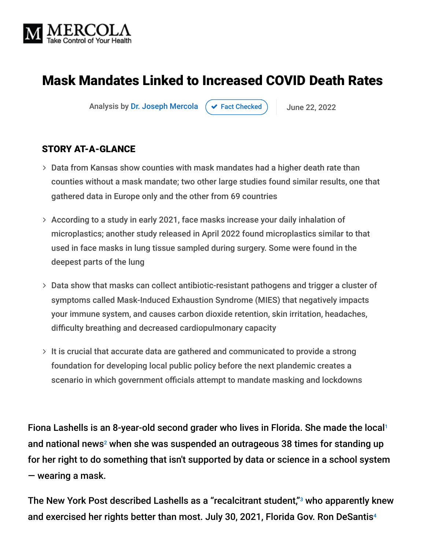

# Mask Mandates Linked to Increased COVID Death Rates

Analysis by [Dr. Joseph Mercola](https://www.mercola.com/forms/background.htm)  $\left( \right. \times$  [Fact Checked](javascript:void(0))  $\left. \right)$  June 22, 2022

#### STORY AT-A-GLANCE

- Data from Kansas show counties with mask mandates had a higher death rate than counties without a mask mandate; two other large studies found similar results, one that gathered data in Europe only and the other from 69 countries
- According to a study in early 2021, face masks increase your daily inhalation of microplastics; another study released in April 2022 found microplastics similar to that used in face masks in lung tissue sampled during surgery. Some were found in the deepest parts of the lung
- Data show that masks can collect antibiotic-resistant pathogens and trigger a cluster of symptoms called Mask-Induced Exhaustion Syndrome (MIES) that negatively impacts your immune system, and causes carbon dioxide retention, skin irritation, headaches, difficulty breathing and decreased cardiopulmonary capacity
- $>$  It is crucial that accurate data are gathered and communicated to provide a strong foundation for developing local public policy before the next plandemic creates a scenario in which government officials attempt to mandate masking and lockdowns

Fiona Lashells is an 8-year-old second grader who lives in Florida. She made the local 1 and national news<sup>2</sup> when she was suspended an outrageous 38 times for standing up for her right to do something that isn't supported by data or science in a school system — wearing a mask.

The New York Post described Lashells as a "recalcitrant student," $3$  who apparently knew and exercised her rights better than most. July 30, 2021, Florida Gov. Ron DeSantis 4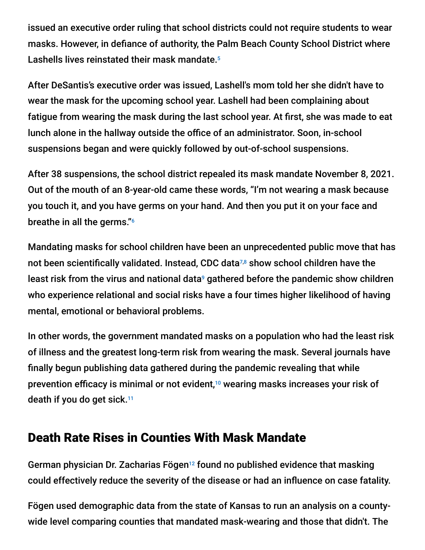issued an executive order ruling that school districts could not require students to wear masks. However, in defiance of authority, the Palm Beach County School District where Lashells lives reinstated their mask mandate. 5

After DeSantis's executive order was issued, Lashell's mom told her she didn't have to wear the mask for the upcoming school year. Lashell had been complaining about fatigue from wearing the mask during the last school year. At first, she was made to eat lunch alone in the hallway outside the office of an administrator. Soon, in-school suspensions began and were quickly followed by out-of-school suspensions.

After 38 suspensions, the school district repealed its mask mandate November 8, 2021. Out of the mouth of an 8-year-old came these words, "I'm not wearing a mask because you touch it, and you have germs on your hand. And then you put it on your face and breathe in all the germs." 6

Mandating masks for school children have been an unprecedented public move that has not been scientifically validated. Instead, CDC data $^{7,8}$  show school children have the least risk from the virus and national data<sup>9</sup> gathered before the pandemic show children who experience relational and social risks have a four times higher likelihood of having mental, emotional or behavioral problems.

In other words, the government mandated masks on a population who had the least risk of illness and the greatest long-term risk from wearing the mask. Several journals have finally begun publishing data gathered during the pandemic revealing that while prevention efficacy is minimal or not evident,<sup>10</sup> wearing masks increases your risk of death if you do get sick. 11

### Death Rate Rises in Counties With Mask Mandate

German physician Dr. Zacharias Fögen<sup>12</sup> found no published evidence that masking could effectively reduce the severity of the disease or had an influence on case fatality.

Fögen used demographic data from the state of Kansas to run an analysis on a countywide level comparing counties that mandated mask-wearing and those that didn't. The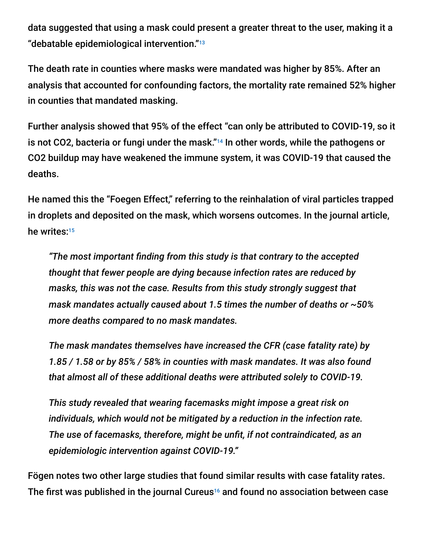data suggested that using a mask could present a greater threat to the user, making it a "debatable epidemiological intervention." 13

The death rate in counties where masks were mandated was higher by 85%. After an analysis that accounted for confounding factors, the mortality rate remained 52% higher in counties that mandated masking.

Further analysis showed that 95% of the effect "can only be attributed to COVID-19, so it is not CO2, bacteria or fungi under the mask."<sup>14</sup> In other words, while the pathogens or CO2 buildup may have weakened the immune system, it was COVID-19 that caused the deaths.

He named this the "Foegen Effect," referring to the reinhalation of viral particles trapped in droplets and deposited on the mask, which worsens outcomes. In the journal article, he writes: 15

*"The most important finding from this study is that contrary to the accepted thought that fewer people are dying because infection rates are reduced by masks, this was not the case. Results from this study strongly suggest that mask mandates actually caused about 1.5 times the number of deaths or ~50% more deaths compared to no mask mandates.*

*The mask mandates themselves have increased the CFR (case fatality rate) by 1.85 / 1.58 or by 85% / 58% in counties with mask mandates. It was also found that almost all of these additional deaths were attributed solely to COVID-19.*

*This study revealed that wearing facemasks might impose a great risk on individuals, which would not be mitigated by a reduction in the infection rate. The use of facemasks, therefore, might be unfit, if not contraindicated, as an epidemiologic intervention against COVID-19."*

Fögen notes two other large studies that found similar results with case fatality rates. The first was published in the journal Cureus<sup>16</sup> and found no association between case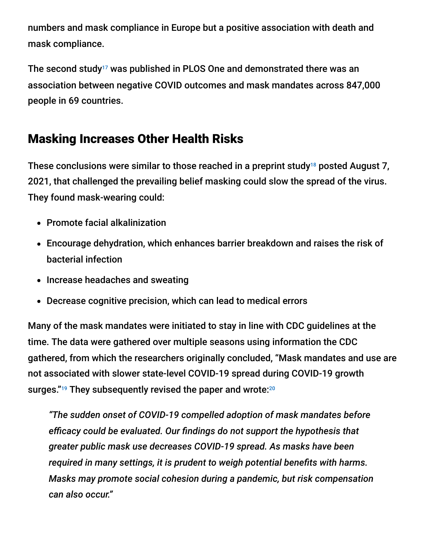numbers and mask compliance in Europe but a positive association with death and mask compliance.

The second study<sup>17</sup> was published in PLOS One and demonstrated there was an association between negative COVID outcomes and mask mandates across 847,000 people in 69 countries.

## Masking Increases Other Health Risks

These conclusions were similar to those reached in a preprint study $^{18}$  posted August 7, 2021, that challenged the prevailing belief masking could slow the spread of the virus. They found mask-wearing could:

- Promote facial alkalinization
- Encourage dehydration, which enhances barrier breakdown and raises the risk of bacterial infection
- Increase headaches and sweating
- Decrease cognitive precision, which can lead to medical errors

Many of the mask mandates were initiated to stay in line with CDC guidelines at the time. The data were gathered over multiple seasons using information the CDC gathered, from which the researchers originally concluded, "Mask mandates and use are not associated with slower state-level COVID-19 spread during COVID-19 growth surges."<sup>19</sup> They subsequently revised the paper and wrote:<sup>20</sup>

*"The sudden onset of COVID-19 compelled adoption of mask mandates before efficacy could be evaluated. Our findings do not support the hypothesis that greater public mask use decreases COVID-19 spread. As masks have been required in many settings, it is prudent to weigh potential benefits with harms. Masks may promote social cohesion during a pandemic, but risk compensation can also occur."*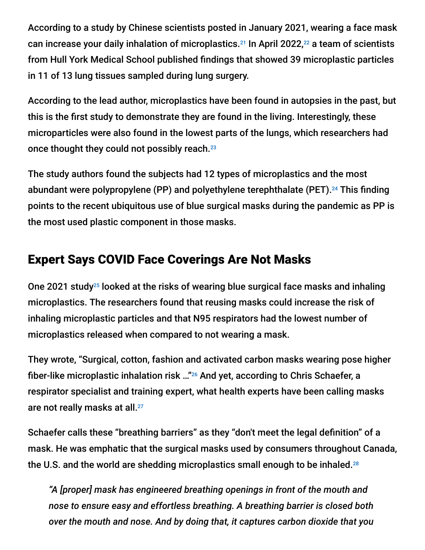According to a study by Chinese scientists posted in January 2021, wearing a face mask can increase your daily inhalation of microplastics.<sup>21</sup> In April 2022, $^{22}$  a team of scientists from Hull York Medical School published findings that showed 39 microplastic particles in 11 of 13 lung tissues sampled during lung surgery.

According to the lead author, microplastics have been found in autopsies in the past, but this is the first study to demonstrate they are found in the living. Interestingly, these microparticles were also found in the lowest parts of the lungs, which researchers had once thought they could not possibly reach. 23

The study authors found the subjects had 12 types of microplastics and the most abundant were polypropylene (PP) and polyethylene terephthalate (PET).<sup>24</sup> This finding points to the recent ubiquitous use of blue surgical masks during the pandemic as PP is the most used plastic component in those masks.

## Expert Says COVID Face Coverings Are Not Masks

One 2021 study<sup>25</sup> looked at the risks of wearing blue surgical face masks and inhaling microplastics. The researchers found that reusing masks could increase the risk of inhaling microplastic particles and that N95 respirators had the lowest number of microplastics released when compared to not wearing a mask.

They wrote, "Surgical, cotton, fashion and activated carbon masks wearing pose higher fiber-like microplastic inhalation risk ..." $^{26}$  And yet, according to Chris Schaefer, a respirator specialist and training expert, what health experts have been calling masks are not really masks at all. 27

Schaefer calls these "breathing barriers" as they "don't meet the legal definition" of a mask. He was emphatic that the surgical masks used by consumers throughout Canada, the U.S. and the world are shedding microplastics small enough to be inhaled. 28

*"A [proper] mask has engineered breathing openings in front of the mouth and nose to ensure easy and effortless breathing. A breathing barrier is closed both over the mouth and nose. And by doing that, it captures carbon dioxide that you*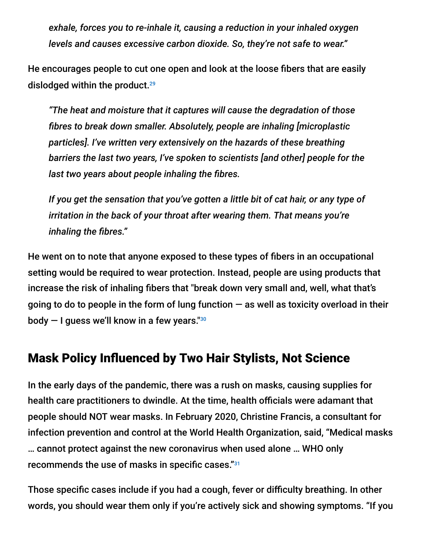*exhale, forces you to re-inhale it, causing a reduction in your inhaled oxygen levels and causes excessive carbon dioxide. So, they're not safe to wear."*

He encourages people to cut one open and look at the loose fibers that are easily dislodged within the product. 29

*"The heat and moisture that it captures will cause the degradation of those fibres to break down smaller. Absolutely, people are inhaling [microplastic particles]. I've written very extensively on the hazards of these breathing barriers the last two years, I've spoken to scientists [and other] people for the last two years about people inhaling the fibres.*

*If you get the sensation that you've gotten a little bit of cat hair, or any type of irritation in the back of your throat after wearing them. That means you're inhaling the fibres."*

He went on to note that anyone exposed to these types of fibers in an occupational setting would be required to wear protection. Instead, people are using products that increase the risk of inhaling fibers that "break down very small and, well, what that's going to do to people in the form of lung function  $-$  as well as toxicity overload in their body — I guess we'll know in a few years." 30

#### Mask Policy Influenced by Two Hair Stylists, Not Science

In the early days of the pandemic, there was a rush on masks, causing supplies for health care practitioners to dwindle. At the time, health officials were adamant that people should NOT wear masks. In February 2020, Christine Francis, a consultant for infection prevention and control at the World Health Organization, said, "Medical masks … cannot protect against the new coronavirus when used alone … WHO only recommends the use of masks in specific cases." 31

Those specific cases include if you had a cough, fever or difficulty breathing. In other words, you should wear them only if you're actively sick and showing symptoms. "If you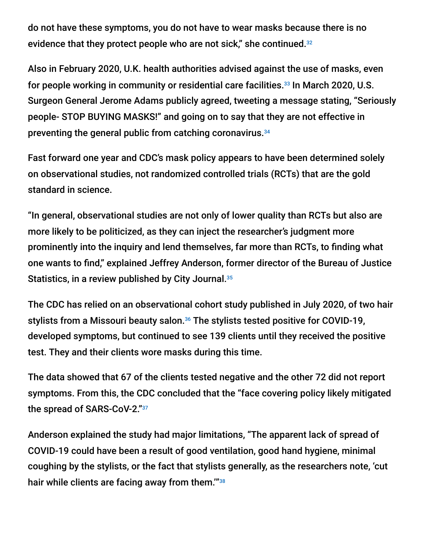do not have these symptoms, you do not have to wear masks because there is no evidence that they protect people who are not sick," she continued.<sup>32</sup>

Also in February 2020, U.K. health authorities advised against the use of masks, even for people working in community or residential care facilities.<sup>33</sup> In March 2020, U.S. Surgeon General Jerome Adams publicly agreed, tweeting a message stating, "Seriously people- STOP BUYING MASKS!" and going on to say that they are not effective in preventing the general public from catching coronavirus. 34

Fast forward one year and CDC's mask policy appears to have been determined solely on observational studies, not randomized controlled trials (RCTs) that are the gold standard in science.

"In general, observational studies are not only of lower quality than RCTs but also are more likely to be politicized, as they can inject the researcher's judgment more prominently into the inquiry and lend themselves, far more than RCTs, to finding what one wants to find," explained Jeffrey Anderson, former director of the Bureau of Justice Statistics, in a review published by City Journal. 35

The CDC has relied on an observational cohort study published in July 2020, of two hair stylists from a Missouri beauty salon.<sup>36</sup> The stylists tested positive for COVID-19, developed symptoms, but continued to see 139 clients until they received the positive test. They and their clients wore masks during this time.

The data showed that 67 of the clients tested negative and the other 72 did not report symptoms. From this, the CDC concluded that the "face covering policy likely mitigated the spread of SARS-CoV-2." 37

Anderson explained the study had major limitations, "The apparent lack of spread of COVID-19 could have been a result of good ventilation, good hand hygiene, minimal coughing by the stylists, or the fact that stylists generally, as the researchers note, 'cut hair while clients are facing away from them."<sup>38</sup>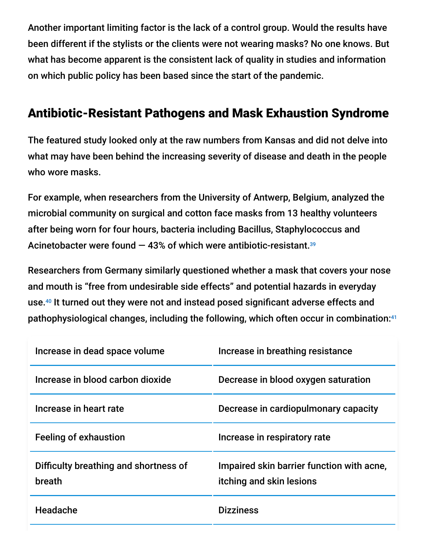Another important limiting factor is the lack of a control group. Would the results have been different if the stylists or the clients were not wearing masks? No one knows. But what has become apparent is the consistent lack of quality in studies and information on which public policy has been based since the start of the pandemic.

### Antibiotic-Resistant Pathogens and Mask Exhaustion Syndrome

The featured study looked only at the raw numbers from Kansas and did not delve into what may have been behind the increasing severity of disease and death in the people who wore masks.

For example, when researchers from the University of Antwerp, Belgium, analyzed the microbial community on surgical and cotton face masks from 13 healthy volunteers after being worn for four hours, bacteria including Bacillus, Staphylococcus and Acinetobacter were found — 43% of which were antibiotic-resistant. 39

Researchers from Germany similarly questioned whether a mask that covers your nose and mouth is "free from undesirable side effects" and potential hazards in everyday use.<sup>40</sup> It turned out they were not and instead posed significant adverse effects and pathophysiological changes, including the following, which often occur in combination: 41

| Increase in dead space volume                   | Increase in breathing resistance                                      |
|-------------------------------------------------|-----------------------------------------------------------------------|
| Increase in blood carbon dioxide                | Decrease in blood oxygen saturation                                   |
| Increase in heart rate                          | Decrease in cardiopulmonary capacity                                  |
| <b>Feeling of exhaustion</b>                    | Increase in respiratory rate                                          |
| Difficulty breathing and shortness of<br>breath | Impaired skin barrier function with acne,<br>itching and skin lesions |
| Headache                                        | <b>Dizziness</b>                                                      |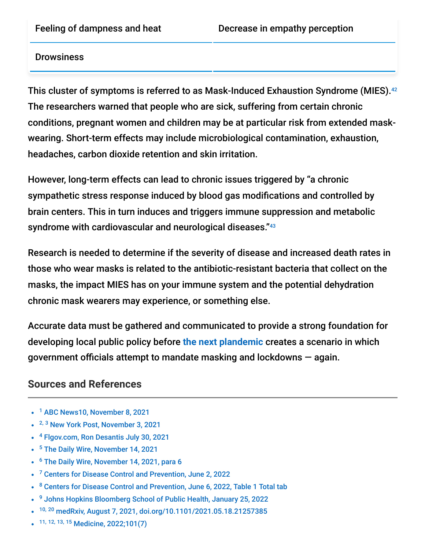#### **Drowsiness**

This cluster of symptoms is referred to as Mask-Induced Exhaustion Syndrome (MIES). 42 The researchers warned that people who are sick, suffering from certain chronic conditions, pregnant women and children may be at particular risk from extended maskwearing. Short-term effects may include microbiological contamination, exhaustion, headaches, carbon dioxide retention and skin irritation.

However, long-term effects can lead to chronic issues triggered by "a chronic sympathetic stress response induced by blood gas modifications and controlled by brain centers. This in turn induces and triggers immune suppression and metabolic syndrome with cardiovascular and neurological diseases."<sup>43</sup>

Research is needed to determine if the severity of disease and increased death rates in those who wear masks is related to the antibiotic-resistant bacteria that collect on the masks, the impact MIES has on your immune system and the potential dehydration chronic mask wearers may experience, or something else.

Accurate data must be gathered and communicated to provide a strong foundation for developing local public policy before **[the next plandemic](https://takecontrol.substack.com/p/the-10-year-pandemic-plan?s=r)** creates a scenario in which government officials attempt to mandate masking and lockdowns — again.

#### **Sources and References**

- <sup>1</sup> [ABC News10, November 8, 2021](https://www.news10.com/news/national/2nd-grader-suspended-38-times-over-mask-mandate-could-flunk-out/)
- <sup>2, 3</sup> [New York Post, November 3, 2021](https://nypost.com/2021/11/03/florida-second-grader-suspended-36-times-over-mask-mandate/)
- <sup>4</sup> [Flgov.com, Ron Desantis July 30, 2021](https://www.flgov.com/2021/07/30/governor-desantis-issues-an-executive-order-ensuring-parents-freedom-to-choose/)
- <sup>5</sup> [The Daily Wire, November 14, 2021](https://www.dailywire.com/news/florida-school-district-finally-drops-mask-mandate-after-8-year-old-gets-suspended-38-times-for-refusing-to-comply)
- <sup>6</sup> [The Daily Wire, November 14, 2021, para 6](https://www.dailywire.com/news/florida-school-district-finally-drops-mask-mandate-after-8-year-old-gets-suspended-38-times-for-refusing-to-comply)
- <sup>7</sup> [Centers for Disease Control and Prevention, June 2, 2022](https://www.cdc.gov/coronavirus/2019-ncov/covid-data/investigations-discovery/hospitalization-death-by-age.html)
- <sup>8</sup> [Centers for Disease Control and Prevention, June 6, 2022, Table 1 Total tab](https://www.cdc.gov/nchs/nvss/vsrr/covid_weekly/index.htm)
- <sup>9</sup> [Johns Hopkins Bloomberg School of Public Health, January 25, 2022](https://publichealth.jhu.edu/2022/study-reveals-fourfold-range-in-rates-of-mental-health-problems-among-us-children-based-on-relational-and-social-risks)
- <sup>10, 20</sup> [medRxiv, August 7, 2021, doi.org/10.1101/2021.05.18.21257385](https://www.medrxiv.org/content/10.1101/2021.05.18.21257385v2)
- 11, 12, 13, 15 [Medicine, 2022;101\(7\)](https://journals.lww.com/md-journal/Fulltext/2022/02180/The_Foegen_effect__A_mechanism_by_which_facemasks.60.aspx)